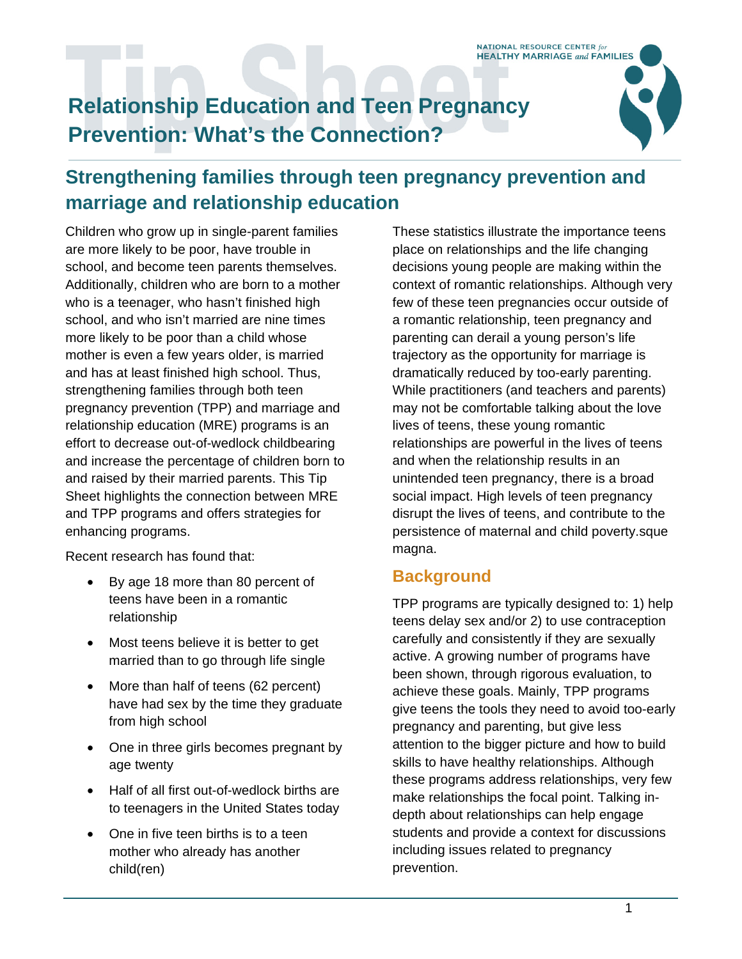# **Relationship Education and Teen Pregnancy Prevention: What's the Connection?**



## **Strengthening families through teen pregnancy prevention and marriage and relationship education**

Children who grow up in single-parent families are more likely to be poor, have trouble in school, and become teen parents themselves. Additionally, children who are born to a mother who is a teenager, who hasn't finished high school, and who isn't married are nine times more likely to be poor than a child whose mother is even a few years older, is married and has at least finished high school. Thus, strengthening families through both teen pregnancy prevention (TPP) and marriage and relationship education (MRE) programs is an effort to decrease out-of-wedlock childbearing and increase the percentage of children born to and raised by their married parents. This Tip Sheet highlights the connection between MRE and TPP programs and offers strategies for enhancing programs.

Recent research has found that:

- By age 18 more than 80 percent of teens have been in a romantic relationship
- Most teens believe it is better to get married than to go through life single
- More than half of teens (62 percent) have had sex by the time they graduate from high school
- One in three girls becomes pregnant by age twenty
- Half of all first out-of-wedlock births are to teenagers in the United States today
- One in five teen births is to a teen mother who already has another child(ren)

These statistics illustrate the importance teens place on relationships and the life changing decisions young people are making within the context of romantic relationships. Although very few of these teen pregnancies occur outside of a romantic relationship, teen pregnancy and parenting can derail a young person's life trajectory as the opportunity for marriage is dramatically reduced by too-early parenting. While practitioners (and teachers and parents) may not be comfortable talking about the love lives of teens, these young romantic relationships are powerful in the lives of teens and when the relationship results in an unintended teen pregnancy, there is a broad social impact. High levels of teen pregnancy disrupt the lives of teens, and contribute to the persistence of maternal and child poverty.sque magna.

### **Background**

TPP programs are typically designed to: 1) help teens delay sex and/or 2) to use contraception carefully and consistently if they are sexually active. A growing number of programs have been shown, through rigorous evaluation, to achieve these goals. Mainly, TPP programs give teens the tools they need to avoid too-early pregnancy and parenting, but give less attention to the bigger picture and how to build skills to have healthy relationships. Although these programs address relationships, very few make relationships the focal point. Talking indepth about relationships can help engage students and provide a context for discussions including issues related to pregnancy prevention.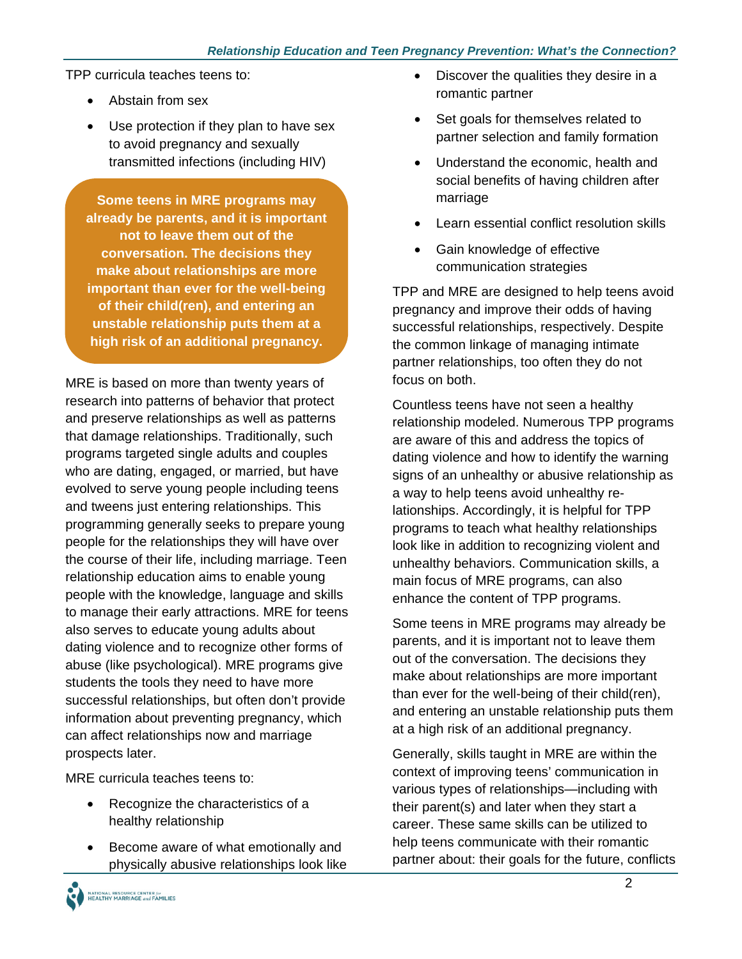TPP curricula teaches teens to:

- Abstain from sex
- Use protection if they plan to have sex to avoid pregnancy and sexually transmitted infections (including HIV)

**Some teens in MRE programs may already be parents, and it is important not to leave them out of the conversation. The decisions they make about relationships are more important than ever for the well-being of their child(ren), and entering an unstable relationship puts them at a high risk of an additional pregnancy.** 

MRE is based on more than twenty years of research into patterns of behavior that protect and preserve relationships as well as patterns that damage relationships. Traditionally, such programs targeted single adults and couples who are dating, engaged, or married, but have evolved to serve young people including teens and tweens just entering relationships. This programming generally seeks to prepare young people for the relationships they will have over the course of their life, including marriage. Teen relationship education aims to enable young people with the knowledge, language and skills to manage their early attractions. MRE for teens also serves to educate young adults about dating violence and to recognize other forms of abuse (like psychological). MRE programs give students the tools they need to have more successful relationships, but often don't provide information about preventing pregnancy, which can affect relationships now and marriage prospects later.

MRE curricula teaches teens to:

- Recognize the characteristics of a healthy relationship
- Become aware of what emotionally and physically abusive relationships look like
- Discover the qualities they desire in a romantic partner
- Set goals for themselves related to partner selection and family formation
- Understand the economic, health and social benefits of having children after marriage
- Learn essential conflict resolution skills
- Gain knowledge of effective communication strategies

TPP and MRE are designed to help teens avoid pregnancy and improve their odds of having successful relationships, respectively. Despite the common linkage of managing intimate partner relationships, too often they do not focus on both.

Countless teens have not seen a healthy relationship modeled. Numerous TPP programs are aware of this and address the topics of dating violence and how to identify the warning signs of an unhealthy or abusive relationship as a way to help teens avoid unhealthy relationships. Accordingly, it is helpful for TPP programs to teach what healthy relationships look like in addition to recognizing violent and unhealthy behaviors. Communication skills, a main focus of MRE programs, can also enhance the content of TPP programs.

Some teens in MRE programs may already be parents, and it is important not to leave them out of the conversation. The decisions they make about relationships are more important than ever for the well-being of their child(ren), and entering an unstable relationship puts them at a high risk of an additional pregnancy.

Generally, skills taught in MRE are within the context of improving teens' communication in various types of relationships—including with their parent(s) and later when they start a career. These same skills can be utilized to help teens communicate with their romantic partner about: their goals for the future, conflicts

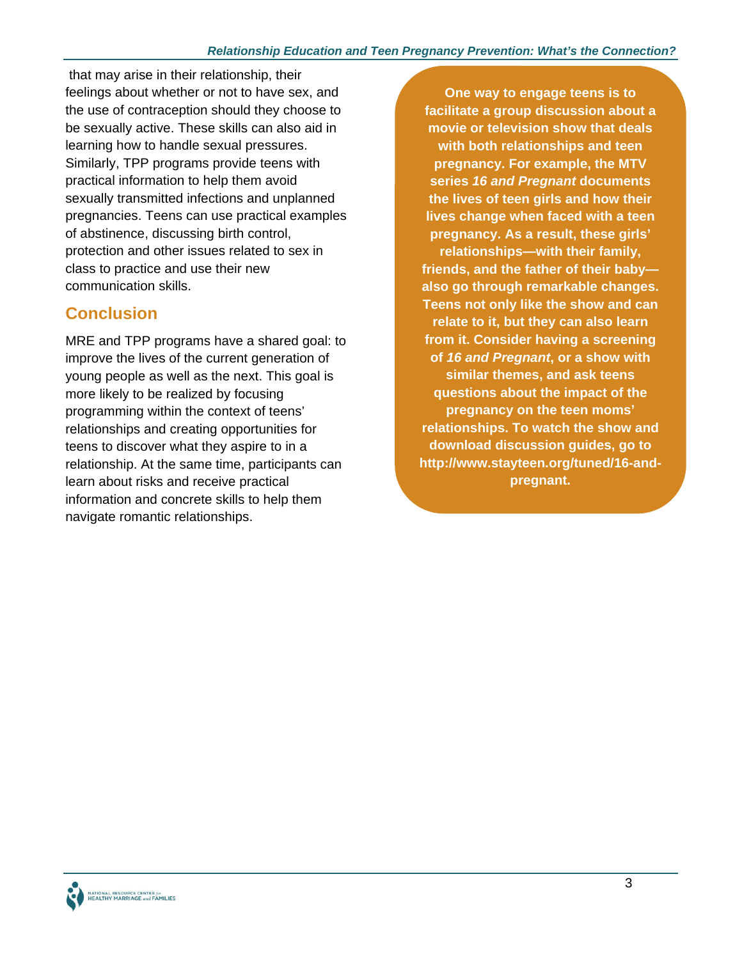that may arise in their relationship, their feelings about whether or not to have sex, and the use of contraception should they choose to be sexually active. These skills can also aid in learning how to handle sexual pressures. Similarly, TPP programs provide teens with practical information to help them avoid sexually transmitted infections and unplanned pregnancies. Teens can use practical examples of abstinence, discussing birth control, protection and other issues related to sex in class to practice and use their new communication skills.

## **Conclusion**

MRE and TPP programs have a shared goal: to improve the lives of the current generation of young people as well as the next. This goal is more likely to be realized by focusing programming within the context of teens' relationships and creating opportunities for teens to discover what they aspire to in a relationship. At the same time, participants can learn about risks and receive practical information and concrete skills to help them navigate romantic relationships.

**One way to engage teens is to facilitate a group discussion about a movie or television show that deals with both relationships and teen pregnancy. For example, the MTV series** *16 and Pregnant* **documents the lives of teen girls and how their lives change when faced with a teen pregnancy. As a result, these girls' relationships—with their family, friends, and the father of their baby also go through remarkable changes. Teens not only like the show and can relate to it, but they can also learn from it. Consider having a screening of** *16 and Pregnant***, or a show with similar themes, and ask teens questions about the impact of the pregnancy on the teen moms' relationships. To watch the show and download discussion guides, go to http://www.stayteen.org/tuned/16-andpregnant.**